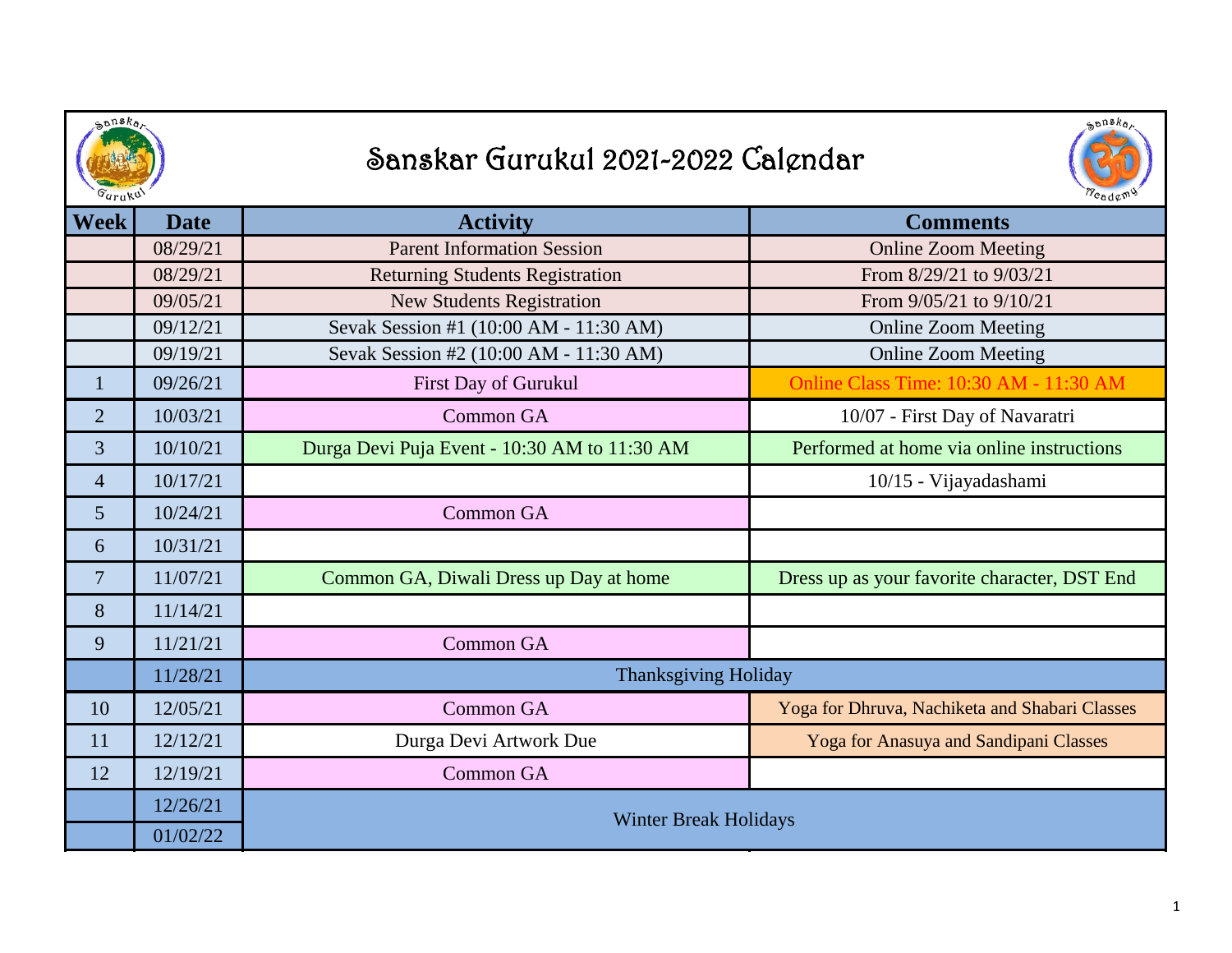| shska<br><i>Guruk</i> <sup>U</sup> |             | $\mathcal{S}^{ansk}$<br>Sanskar Gurukul 2021-2022 Calendar |                                                |
|------------------------------------|-------------|------------------------------------------------------------|------------------------------------------------|
| Week                               | <b>Date</b> | <b>Activity</b>                                            | <b>Comments</b>                                |
|                                    | 08/29/21    | <b>Parent Information Session</b>                          | <b>Online Zoom Meeting</b>                     |
|                                    | 08/29/21    | <b>Returning Students Registration</b>                     | From 8/29/21 to 9/03/21                        |
|                                    | 09/05/21    | <b>New Students Registration</b>                           | From $9/05/21$ to $9/10/21$                    |
|                                    | 09/12/21    | Sevak Session #1 (10:00 AM - 11:30 AM)                     | <b>Online Zoom Meeting</b>                     |
|                                    | 09/19/21    | Sevak Session #2 (10:00 AM - 11:30 AM)                     | <b>Online Zoom Meeting</b>                     |
| $\mathbf{1}$                       | 09/26/21    | First Day of Gurukul                                       | Online Class Time: 10:30 AM - 11:30 AM         |
| $\overline{2}$                     | 10/03/21    | Common GA                                                  | 10/07 - First Day of Navaratri                 |
| 3                                  | 10/10/21    | Durga Devi Puja Event - 10:30 AM to 11:30 AM               | Performed at home via online instructions      |
| $\overline{4}$                     | 10/17/21    |                                                            | 10/15 - Vijayadashami                          |
| 5                                  | 10/24/21    | <b>Common GA</b>                                           |                                                |
| 6                                  | 10/31/21    |                                                            |                                                |
| $\overline{7}$                     | 11/07/21    | Common GA, Diwali Dress up Day at home                     | Dress up as your favorite character, DST End   |
| 8                                  | 11/14/21    |                                                            |                                                |
| 9                                  | 11/21/21    | Common GA                                                  |                                                |
|                                    | 11/28/21    | <b>Thanksgiving Holiday</b>                                |                                                |
| 10                                 | 12/05/21    | Common GA                                                  | Yoga for Dhruva, Nachiketa and Shabari Classes |
| 11                                 | 12/12/21    | Durga Devi Artwork Due                                     | Yoga for Anasuya and Sandipani Classes         |
| 12                                 | 12/19/21    | Common GA                                                  |                                                |
|                                    | 12/26/21    | <b>Winter Break Holidays</b>                               |                                                |
|                                    | 01/02/22    |                                                            |                                                |